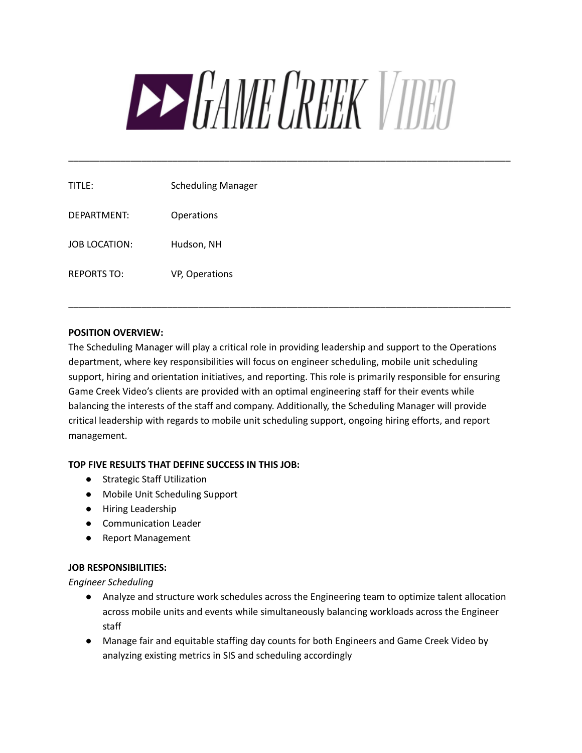# **EXPERIME OR FIRE VIDEO**

\_\_\_\_\_\_\_\_\_\_\_\_\_\_\_\_\_\_\_\_\_\_\_\_\_\_\_\_\_\_\_\_\_\_\_\_\_\_\_\_\_\_\_\_\_\_\_\_\_\_\_\_\_\_\_\_\_\_\_\_\_\_\_\_\_\_\_\_\_\_\_\_\_\_\_\_\_\_\_\_\_\_\_\_\_

| TITLF:             | <b>Scheduling Manager</b> |
|--------------------|---------------------------|
| DFPARTMENT:        | <b>Operations</b>         |
| JOB LOCATION:      | Hudson, NH                |
| <b>REPORTS TO:</b> | VP, Operations            |
|                    |                           |

## **POSITION OVERVIEW:**

The Scheduling Manager will play a critical role in providing leadership and support to the Operations department, where key responsibilities will focus on engineer scheduling, mobile unit scheduling support, hiring and orientation initiatives, and reporting. This role is primarily responsible for ensuring Game Creek Video's clients are provided with an optimal engineering staff for their events while balancing the interests of the staff and company. Additionally, the Scheduling Manager will provide critical leadership with regards to mobile unit scheduling support, ongoing hiring efforts, and report management.

\_\_\_\_\_\_\_\_\_\_\_\_\_\_\_\_\_\_\_\_\_\_\_\_\_\_\_\_\_\_\_\_\_\_\_\_\_\_\_\_\_\_\_\_\_\_\_\_\_\_\_\_\_\_\_\_\_\_\_\_\_\_\_\_\_\_\_\_\_\_\_\_\_\_\_\_\_\_\_\_\_\_\_\_\_

## **TOP FIVE RESULTS THAT DEFINE SUCCESS IN THIS JOB:**

- Strategic Staff Utilization
- Mobile Unit Scheduling Support
- Hiring Leadership
- Communication Leader
- Report Management

### **JOB RESPONSIBILITIES:**

*Engineer Scheduling*

- Analyze and structure work schedules across the Engineering team to optimize talent allocation across mobile units and events while simultaneously balancing workloads across the Engineer staff
- Manage fair and equitable staffing day counts for both Engineers and Game Creek Video by analyzing existing metrics in SIS and scheduling accordingly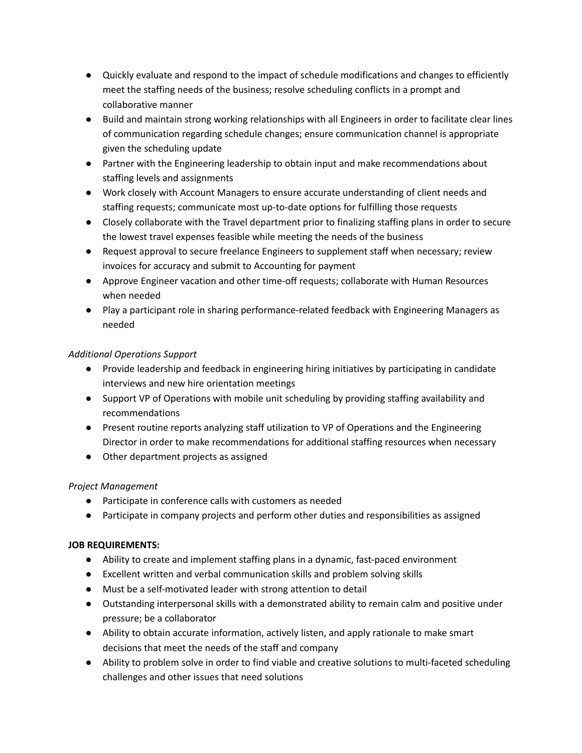- Quickly evaluate and respond to the impact of schedule modifications and changes to efficiently meet the staffing needs of the business; resolve scheduling conflicts in a prompt and collaborative manner
- Build and maintain strong working relationships with all Engineers in order to facilitate clear lines of communication regarding schedule changes; ensure communication channel is appropriate given the scheduling update
- Partner with the Engineering leadership to obtain input and make recommendations about staffing levels and assignments
- Work closely with Account Managers to ensure accurate understanding of client needs and staffing requests; communicate most up-to-date options for fulfilling those requests
- Closely collaborate with the Travel department prior to finalizing staffing plans in order to secure the lowest travel expenses feasible while meeting the needs of the business
- Request approval to secure freelance Engineers to supplement staff when necessary; review invoices for accuracy and submit to Accounting for payment
- Approve Engineer vacation and other time-off requests; collaborate with Human Resources when needed
- Play a participant role in sharing performance-related feedback with Engineering Managers as needed

# *Additional Operations Support*

- Provide leadership and feedback in engineering hiring initiatives by participating in candidate interviews and new hire orientation meetings
- Support VP of Operations with mobile unit scheduling by providing staffing availability and recommendations
- Present routine reports analyzing staff utilization to VP of Operations and the Engineering Director in order to make recommendations for additional staffing resources when necessary
- Other department projects as assigned

## *Project Management*

- Participate in conference calls with customers as needed
- Participate in company projects and perform other duties and responsibilities as assigned

## **JOB REQUIREMENTS:**

- Ability to create and implement staffing plans in a dynamic, fast-paced environment
- Excellent written and verbal communication skills and problem solving skills
- Must be a self-motivated leader with strong attention to detail
- Outstanding interpersonal skills with a demonstrated ability to remain calm and positive under pressure; be a collaborator
- Ability to obtain accurate information, actively listen, and apply rationale to make smart decisions that meet the needs of the staff and company
- Ability to problem solve in order to find viable and creative solutions to multi-faceted scheduling challenges and other issues that need solutions